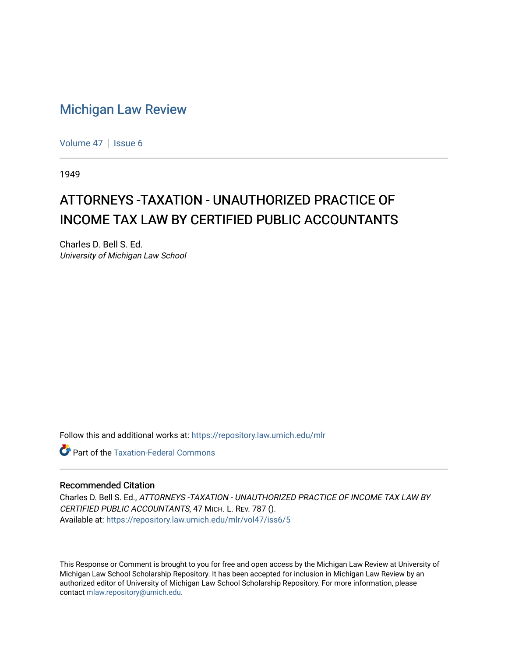# [Michigan Law Review](https://repository.law.umich.edu/mlr)

[Volume 47](https://repository.law.umich.edu/mlr/vol47) | [Issue 6](https://repository.law.umich.edu/mlr/vol47/iss6)

1949

# ATTORNEYS -TAXATION - UNAUTHORIZED PRACTICE OF INCOME TAX LAW BY CERTIFIED PUBLIC ACCOUNTANTS

Charles D. Bell S. Ed. University of Michigan Law School

Follow this and additional works at: [https://repository.law.umich.edu/mlr](https://repository.law.umich.edu/mlr?utm_source=repository.law.umich.edu%2Fmlr%2Fvol47%2Fiss6%2F5&utm_medium=PDF&utm_campaign=PDFCoverPages) 

**C** Part of the [Taxation-Federal Commons](http://network.bepress.com/hgg/discipline/881?utm_source=repository.law.umich.edu%2Fmlr%2Fvol47%2Fiss6%2F5&utm_medium=PDF&utm_campaign=PDFCoverPages)

# Recommended Citation

Charles D. Bell S. Ed., ATTORNEYS -TAXATION - UNAUTHORIZED PRACTICE OF INCOME TAX LAW BY CERTIFIED PUBLIC ACCOUNTANTS, 47 MICH. L. REV. 787 (). Available at: [https://repository.law.umich.edu/mlr/vol47/iss6/5](https://repository.law.umich.edu/mlr/vol47/iss6/5?utm_source=repository.law.umich.edu%2Fmlr%2Fvol47%2Fiss6%2F5&utm_medium=PDF&utm_campaign=PDFCoverPages)

This Response or Comment is brought to you for free and open access by the Michigan Law Review at University of Michigan Law School Scholarship Repository. It has been accepted for inclusion in Michigan Law Review by an authorized editor of University of Michigan Law School Scholarship Repository. For more information, please contact [mlaw.repository@umich.edu](mailto:mlaw.repository@umich.edu).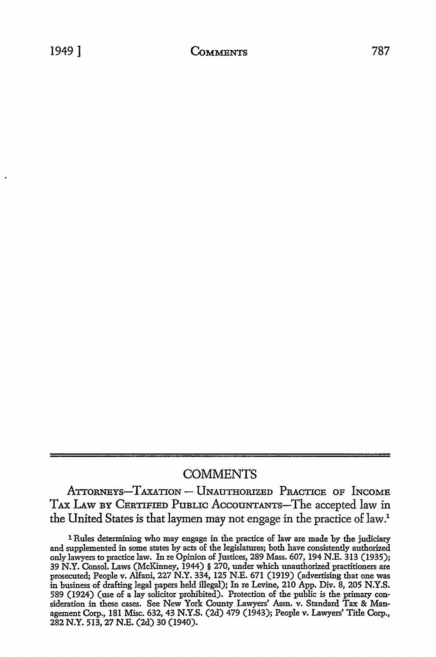# **COMMENTS**

ATTORNEYS-TAXATION - UNAUTHORIZED PRACTICE OF INCOME TAX LAW BY CERTIFIED PUBLIC ACCOUNTANTS-The accepted law in the United States is that laymen may not engage in the practice of law.1

<sup>1</sup> Rules determining who may engage in the practice of law are made by the judiciary and supplemented in some states by acts of the legislatures; both have consistently authorized only lawyers to practice law. In re Opinion of Justices, 289 Mass. 607, 194 N.E. 313 (1935); 39 N.Y. Consol. Laws (McKinney, 1944) § 270, under which unauthorized practitioners are prosecuted; People v. Alfani, 227 N.Y. 334, 125 N.E. 671 (1919) (advertising that one was in business of drafting legal papers held illegal): In re Levine, 210 App. Div. 8, 205 N.Y.S. 589 (1924) (use of a lay solicitor prohibited). Protection of the public is the primary consideration in these cases. See New York County Lawyers' Assn. v. Standard Tax & Management Corp., 181 Misc. 632, 43 N.Y.S. (2d) 479 (1943); People v. Lawyers' Title Corp., 282 N.Y. 513, 27 N.E. (2d) 30 (1940).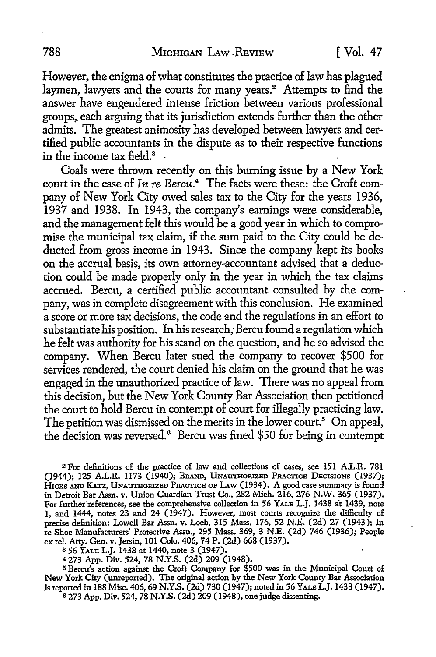However, the enigma of what constitutes the practice of law has plagued laymen, lawyers and the courts for many years.<sup>2</sup> Attempts to find the answer have engendered intense friction between various professional groups, each arguing that its jurisdiction extends further than the other admits. The greatest animosity has developed between lawyers and certified public accountants in the dispute as to their respective functions in the income tax field. $^3$   $\,$   $\,$ 

Coals were thrown recently on this burning issue by a New York court in the case of *In re Bercu.*4 The facts were these: the Croft company of New York City owed sales tax to the City for the years 1936, 1937 and 1938. In 1943, the company's earnings were considerable, and the management felt this would be a good year in which to compromise the municipal tax claim, if the sum paid to the City could be deducted from gross income in 1943. Since the company kept its books on the accrual basis, its own attorney-accountant advised that a deduction could be made properly only in the year in which the tax claims accrued. Bercu, a certified public accountant consulted by the company, was in complete disagreement with this conclusion. He examined a score or more tax decisions, the code and the regulations in an effort to substantiate his position. In his research; Bercu found a regulation which he felt was authority for his stand on the question, and he so advised the company. When Bercu later sued the company to recover \$500 for services rendered, the court denied his claim on the ground that he was ·engaged in the unauthorized practice of law. There was no appeal from this decision, but the New York County Bar Association then petitioned the court to hold Bercu in contempt of court for illegally practicing law. The petition was dismissed on the merits in the lower court.<sup>5</sup> On appeal, the decision was reversed.<sup>6</sup> Bercu was fined \$50 for being in contempt

<sup>2</sup> For definitions of the practice of law and collections of cases, see 151 A.L.R. 781 (1944); 125 A.L.R. 1173 (1940); BRAND, UNAUTHORIZED PRACTICE DECISIONS (1937); HICKS AND KATZ, UNAUTHORIZED PRACTICE OF LAW (1934). A good case summary is found in Detroit Bar Assn. v. Union Guardian Trust Co., 282 Mich. 216, 276 N.W. 365 (1937). For further"references, see the comprehensive collection in 56 YALE L.J. 1438 *it* 1439, note 1, and 1444, notes 23 and 24 (1947). However, most courts recognize the difficulty of precise definition: Lowell Bar Assn. v. Loeb, 315 Mass. 176, 52 N.E. (2d) 27 (1943); In re Shoe Manufacturers' Protective Assn., 295 Mass. 369, 3 N.E. (2d) 746 (1936); People ex rel. Atty. Gen. v. Jersin, 101 Colo. 406, 74 P. (2d) 668 (1937).

<sup>3</sup>56 YALE L.J. 1438 at 1440, note 3 (1947).

<sup>4</sup>273 App. Div. 524, 78 N.Y.S. (2d) 209 (1948).

<sup>5</sup>Bercu's action against the Croft Company for \$500 was in the Municipal Court of New York City (unreported). The original action by the New York County Bar Association is reported in 188 Misc. 406, 69 N.Y.S. (2d) 730 (1947); noted in 56 YALE L.J. 1438 (1947). 6 273 App. Div. 524, 78 N.Y.S. (2d) 209 (1948), one judge dissenting.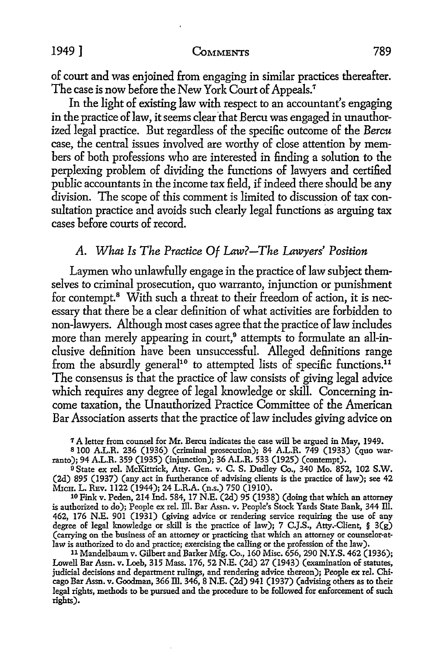## 1949] **CoMMENTS** 789

of court and was enjoined from engaging in similar practices thereafter. The case is now before the New York Court of Appeals.<sup>7</sup>

In the light of existing law with respect to an accountant's engaging in the practice of law, it seems clear that Bercu was engaged in unauthorized legal practice. But regardless of the specific outcome of the *Bercu*  case, the central issues involved are worthy of close attention by members of both professions who are interested in finding a solution to the perplexing problem of dividing the functions of lawyers and certified public accountants in the income tax field, if indeed there should be any division. The scope of this comment is limited to discussion of tax consultation practice and avoids such clearly legal functions as arguing tax cases before courts of record.

# *A. What Is The Practice Of Law?-The Lawyers' Position*

Laymen who unlawfully engage in the practice of law subject themselves *to* criminal prosecution, quo warranto, injunction or punishment for contempt.<sup>8</sup> With such a threat to their freedom of action, it is necessary that there be a clear definition of what activities are forbidden to non-lawyers. Although most cases agree that the practice of law includes more than merely appearing in court,<sup>9</sup> attempts to formulate an all-inclusive definition have been unsuccessful. Alleged definitions range from the absurdly general<sup>10</sup> to attempted lists of specific functions.<sup>11</sup> The consensus is that the practice of law consists of giving legal advice which requires any degree of legal knowledge or skill. Concerning income taxation, the Unauthorized Practice Committee of the American Bar Association asserts that the practice of law includes giving advice on

<sup>9</sup> State ex rel. McKittrick, Atty. Gen. v. C. S. Dudley Co., 340 Mo. 852, 102 S.W. (2d) 895 (1937) (any.act in furtherance of advising clients is the practice of law); see 42 MrcH. L. REv. 1122 (1944); 24 L.R.A. (n.s.) 750 (1910).

10 Fink v. Peden, 214 Ind. 584, 17 N.E. (2d) 95 (1938) (doing that which an attorney is authorized to do); People ex rel. Ill. Bar Assn. v. People's Stock Yards State Bank, 344 Ill. 462, 176 N.E. 901 (1931) (giving advice or rendering service requiring the use of any degree of legal knowledge or skill is the practice of law); 7 C.J.S., Atty.-Client,  $\S$  3(g) (carrying on the business of an attorney or practicing that which an attorney or counselor-atlaw is authorized to do and practice; exercising the calling or the profession of the law).

11 Mandelbaum v. Gilbert and Barker Mfg. Co., 160 Misc. 656, 290 N.Y.S. 462 (1936); Lowell Bar Assn. v. Loeb, 315 Mass. 176, 52 N.E. (2d) 27 (1943) (examination of statutes, judicial decisions and department rulings, and rendering advice thereon); People ex rel. Chicago Bar Assn. v. Goodman, 366 Ill. 346, 8 N.E. (2d) 941 (1937) (advising others as to their legal rights, methods to be pursued and the procedure to be followed for enforcement of such rights).

<sup>&</sup>lt;sup>7</sup> A letter from counsel for Mr. Bercu indicates the case will be argued in May, 1949.<br><sup>8</sup> 100 A.L.R. 236 (1936) (criminal prosecution); 84 A.L.R. 749 (1933) (quo warranto); 94 A.L.R. 359 (1935) (injunction); 36 A.L.R. 533 (1925) (contempt).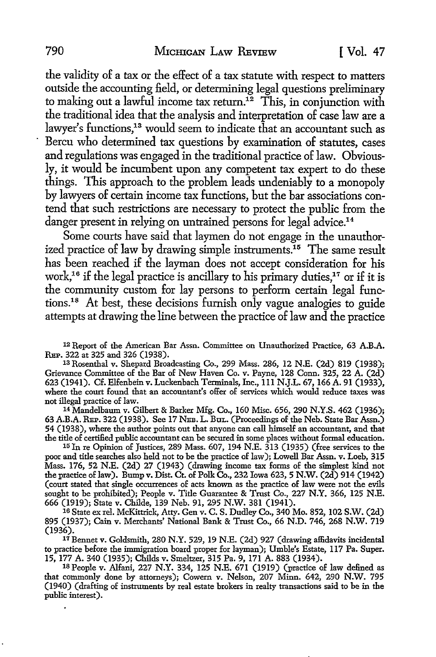the validity of a tax or the effect of a tax statute with respect to matters outside the accounting field, or determining legal questions preliminary to making out a lawful income tax return.<sup>12</sup> This, in conjunction with the traditional idea that the analysis and interpretation of case law are a lawyer's functions,<sup>13</sup> would seem to indicate that an accountant such as Bercu who determined tax questions by examination of statutes, cases and regulations was engaged in the traditional practice of law. Obviously, it would be incumbent upon any competent tax expert to do these things. This approach to the problem leads undeniably to a monopoly by lawyers of certain income tax functions, but the bar associations contend that such restrictions are necessary to protect the public from the danger present in relying on untrained persons for legal advice.<sup>14</sup>

Some courts have said that laymen do not engage in the unauthorized practice of law by drawing simple instruments.15 The same result has been reached if the layman does not accept consideration for his work,<sup>16</sup> if the legal practice is ancillary to his primary duties,<sup>17</sup> or if it is the community custom for lay persons to perform certain legal functions.18 At best, these decisions furnish only vague analogies to guide attempts at drawing the line between the practice of law and the practice

12 Report of the American Bar Assn. Committee on Unauthorized Practice, 63 **A.B.A.**  REP. 322 at 325 and 326 (1938).

13 Rosenthal v. Shepard Broadcasting Co., 299 Mass. 286, 12 **N.E.** (2d) 819 (1938); Grievance Committee of the Bar of New Haven Co. v. Payne, 128 Conn. 325, 22 A. (2d) 623 (1941). Cf. Elfenbein v. Luckenbach Terminals, Inc., 111 N.J.L. 67, 166 A. 91 (1933), where the court found that an accountant's offer of services which would reduce taxes was not illegal practice of law.

14 Mandelbaum v. Gilbert & Barker Mfg. Co., 160 Misc. 656, 290 N.Y.S. 462 (1936); 63 A.B.A. REP. 322 (1938). See 17 NEB. L. BuL. (Proceedings of the Neb. State Bar Assn.) 54 (1938), where the author points out that anyone can call himself an accountant, and that the title of certified public accountant can be secured in some places without formal education.

15 Jn re Opinion of Justices, 289 Mass. 607, 194 N.E. 313 (1935) (free services to the poor and title searches also held not to be the practice of law); Lowell Bar Assn. v. Loeb, 315 Mass. 176, 52 N.E. (2d) 27 (1943) (drawing income tax forms of the simplest kind not the practice of law). Bump v. Dist. Ct. of Polk Co., 232 Iowa 623, 5 **N.W.** (2d) 914 (1942) (court stated that single occurrences of acts known as the practice of law were not the evils sought to be prohibited); People v. Title Guarantee & Trust Co., 227 N.Y. 366, 125 N.E. 666 (1919); State v. Childe, 139 Neb. 91, 295 N.W. 381 (1941).

16 State ex rel. McKittrick, Atty. Gen v. C. S. Dudley Co., 340 Mo. 852, 102 S.W. (2d) 895 (1937); Cain v. Merchants' National Bank & Trust Co., 66 N.D. 746, 268 N.W. 719

<sup>17</sup> Bennet v. Goldsmith, 280 N.Y. 529, 19 N.E. (2d) 927 (drawing affidavits incidental to practice before the immigration board proper for layman); Umble's Estate, 117 Pa. Super. 15, 177 A. 340 (1935); Childs v. Smeltzer, 315 Pa. 9, 171 A. 883 (1934).

<sup>18</sup> People v. Alfani, 227 N.Y. 334, 125 N.E. 671 (1919) (practice of law defined as that commonly done by attorneys); Cowern v. Nelson, 207 Minn. 642, 290 N.W. 795 (1940) (drafting of instruments by real estate brokers in realty transactions said to be in the public interest).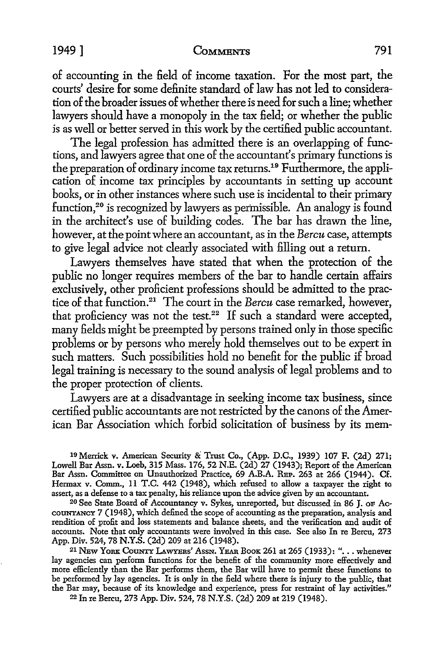## 1949] **CoMMENTS** 791

of accounting in the field of income taxation. For the most part, the courts' desire for some definite standard of law has not led to consideration of the broader issues of whether there is need for such a line; whether lawyers should have a monopoly in the tax field; or whether the public is as well or better served in this work by the certified public accountant.

The legal profession has admitted there is an overlapping of functions, and lawyers agree that one of the accountant's primary functions is the preparation of ordinary income tax returns.<sup>19</sup> Furthermore, the application of income tax principles by accountants in setting up account books, or in other instances where such use is incidental to their primary function,<sup>20</sup> is recognized by lawyers as permissible. An analogy is found in the architect's use of building codes. The bar has drawn the line, however, at the point where an accountant, as in the *Bercu* case, attempts to give legal advice not clearly associated with filling out a return.

Lawyers themselves have stated that when the protection of the public no longer requires members of the bar to handle certain affairs exclusively, other proficient professions should be admitted to the practice of that function.21 The court in the *Bercu* case remarked, however, that proficiency was not the test.<sup>22</sup> If such a standard were accepted, many fields might be preempted by persons trained only in those specific problems or by persons who merely hold themselves out to be expert in such matters. Such possibilities hold no benefit for the public if broad legal training is necessary to the sound analysis of legal problems and to the proper protection of clients.

Lawyers are at a disadvantage in seeking income tax business, since certified public accountants are not restricted by the canons of the American Bar Association which forbid solicitation of business by its mem-

19 Menick v. American Security & Trust Co., (App. D.C., 1939) 107 F. (2d) 271; Lowell Bar Assn. v. Loeb, 315 Mass. 176, 52 N.E. (2d) 27 (1943); Report of the American Bar Assn. Committee on Unauthorized Practice, 69 A.B.A. REP. 263 at 266 (1944). Cf. Hermax v. Comm., 11 T.C. 442 (1948), which refused to allow a taxpayer the right to assert, as a defense to a tax penalty, his reliance upon the advice given by an accountant.

20 See State Board of Accountancy v. Sykes, unreported, but discussed in 86 J. OF AccoUNTANCY 7 (1948), which defined the scope of accounting as the preparation, analysis and rendition of profit and loss statements and balance sheets, and the verification and audit of accounts. Note that only accountants were involved in this case. See also In re Bercu, 273

<sup>21</sup> New York County Lawyers' Assn. Year Book 261 at 265 (1933): "... whenever lay agencies can perform functions for the benefit of the community more effectively and more efficiently than the Bar performs them, the Bar will have to permit these functions to be performed by lay agencies. It is only in the field where there is injury to the public, that the Bar may, because of its knowledge and experience, press for restraint of lay activities."

22 In re Bercu, 273 App. *Div.* 524, 78 N.Y.S. (2d) 209 at 219 (1948).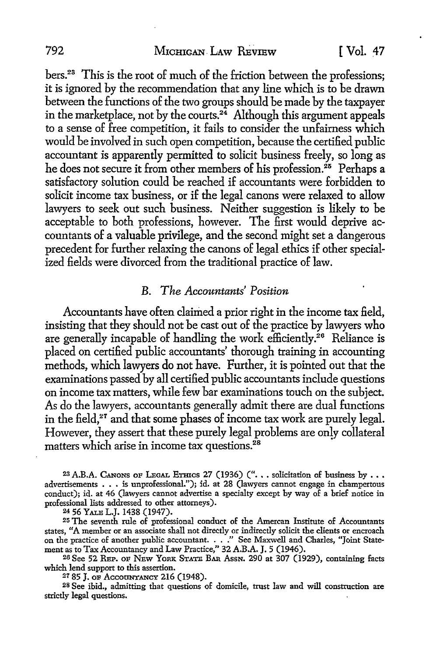bers.23 This is the root of much of the friction between the professions; it is ignored by the recommendation that any line which is to be drawn between the functions of the two groups should be made by the taxpayer in the marketplace, not by the courts.<sup>24</sup> Although this argument appeals to a sense of free competition, it fails to consider the unfairness which would be involved in such open competition, because the certified public accountant is apparently permitted to solicit business freely, so long as he does not secure it from other members of his profession.<sup>25</sup> Perhaps a satisfactory solution could be reached if accountants were forbidden to solicit income tax business, or if the legal canons were relaxed to allow lawyers to seek out such business. Neither suggestion is likely to be acceptable to both professions, however. The first would deprive accountants of a valuable privilege, and the second might set a dangerous precedent for further relaxing the canons of legal ethics if other specialized fields were divorced from the traditional practice of law.

# B. *The Accountants' Position*

Accountants have often claimed a prior right in the income tax field, insisting that they should not be cast out of the practice by lawyers who are generally incapable of handling the work efficiently.<sup>26</sup> Reliance is placed on certified public accountants' thorough training in accounting methods, which lawyers do not have. Further, it is pointed out that the examinations passed by all certified public accountants include questions on income tax matters, while few bar examinations touch on the subject. As do the lawyers, accountants generally admit there are dual functions in the field, $27$  and that some phases of income tax work are purely legal. However, they assert that these purely legal problems are only collateral matters which arise in income tax questions.<sup>28</sup>

<sup>23</sup> A.B.A. CANONS OF LEGAL ETHICS 27 (1936) (" $\dots$  solicitation of business by  $\dots$ advertisements . • . is unprofessional."); id. at 28 (lawyers cannot engage in champertous conduct); id. at 46 (lawyers cannot advertise a specialty except by way of a brief notice in professional lists addressed to other attorneys).

<sup>24</sup>56 YALB L.J. 1438 (1947).

25 The seventh rule of professional conduct of the Amercan Institute of Accountants states, "A member or an associate shall not directly or indirectly solicit the clients or encroach on the practice of another public accountant. . . ." See Maxwell and Charles, "Joint State-

ment as to Tax Accountancy and Law Practice," 32 A.B.A. J. 5 (1946).<br><sup>26</sup> See 52 REP. OF NEW YORK STATE BAR AssN. 290 at 307 (1929), containing facts which lend support to this assertion.

*<sup>21</sup>*85 J. oF AccouNTANCY 216 (1948).

28 See ibid., admitting that questions of domicile, trust law and will construction are strictly legal questions.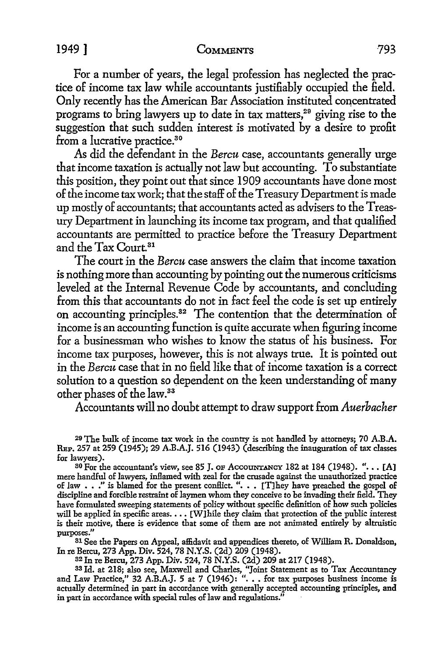## 1949] **CoMMENTS** 793

For a number of years, the legal profession has neglected the practice of income tax law while accountants justifiably occupied the field. Only recently has the American Bar Association instituted concentrated programs to bring lawyers up to date in tax matters,<sup>29</sup> giving rise to the suggestion that such sudden interest is motivated by a desire to profit from a lucrative practice.<sup>30</sup>

As did the defendant in the *Bercu* case, accountants generally urge that income taxation is actually not law but accounting. To substantiate this position, they point out that since 1909 accountants have done most of the income tax work; that the staff of the Treasury Department is made up mostly of accountants; that accountants acted as advisers to the Treasury Department in launching its income tax program, and that qualified accountants are permitted to practice before the Treasury Department and the Tax Court. 31

The court in the *Bercu* case answers the claim that income taxation is nothing more than accounting by pointing out the numerous criticisms leveled at the Internal Revenue Code by accountants, and concluding from this that accountants do not in fact feel the code is set up entirely on accounting principles.<sup>32</sup> The contention that the determination of income is an accounting function is quite accurate when figuring income for a businessman who wishes to know the status of his business. For income tax purposes, however, this is not always true. It is pointed out in the *Bercu* case that in no field like that of income taxation is a correct solution to a question so dependent on the keen understanding of many other phases of the law.<sup>33</sup>

Accountants will no doubt attempt to draw support from *Auerbacher* 

29 The bulk of income tax work in the country is not handled by attorneys; 70 A.B.A. REP. 257 at 259 (1945); 29 A.B.A.J. 516 (1943) (describing the inauguration of tax classes for lawyers).

30 For the accountant's view, see 85 J. OF Accountancy 182 at 184 (1948). "... [A] mere handful of lawyers, inflamed with zeal for the crusade against the unauthorized practice of law . . ." is blamed for the present conflict. ". . . [T]hey have preached the gospel of discipline and forcible restraint of laymen whom they conceive to be invading their field. They have formulated sweeping statements of policy without specific definition of how such policies will be applied in specific areas.  $\ldots$  [W] hile they claim that protection of the public interest is their motive, there is evidence that some of them are not animated entirely by altruistic purposes."

31 See the Papers on Appeal, affidavit and appendices thereto, of William R. Donaldson, In re Bercu, 273 App. Div. 524, 78 N.Y.S. (2d) 209 (1948).

32 In re Bercu, 273 App. Div. 524, 78 N.Y.S. (2d) 209 at 217 (1948).

33 Id. at 218; also see, Maxwell and Charles, "Joint Statement as to Tax Accountancy and Law Practice," 32 A.B.A.J. 5 at 7 (1946): " ••• for tax purposes business income is actually determined in part in accordance with generally accepted accounting principles, and in part in accordance with special rules of law and regulations."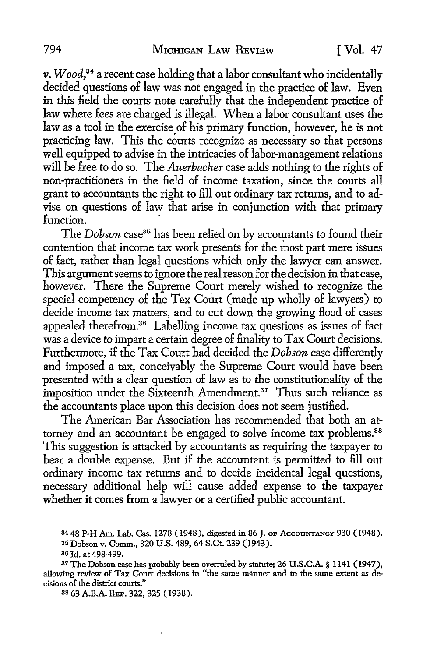*v. Wood,*<sup>34</sup>a recent case holding that a labor consultant who incidentally decided questions of law was not engaged in the practice of law. Even in this field the courts note carefully that the independent practice of law where fees are charged is illegal. When a labor consultant uses the law as a tool in the exercise of his primary function, however, he is not practicing law. This the courts recognize as necessary so that persons well equipped to advise in the intricacies of labor-management relations will be free to do so. The *Auerbacher* case adds nothing to the rights of non-practitioners in the field of income taxation, since the courts all grant to accountants the right to fill out ordinary tax returns, and to advise on questions of law that arise in conjunction with that primary function.

The *Dobson* case<sup>35</sup> has been relied on by accountants to found their contention that income tax work presents for the most part mere issues of fact, rather than legal questions which only the lawyer can answer. This argument seems to ignore the real reason for the decision in that case, however. There the Supreme Court merely wished to recognize the special competency of the Tax Court (made up wholly of lawyers) to decide income tax matters, and to cut down the growing flood of cases appealed therefrom.36 Labelling income tax questions as issues of fact was a device to impart a certain degree of finality to Tax Court decisions. Furthermore, if the Tax Court had decided the *Dobson* case differently and imposed a tax, conceivably the Supreme Court would have been presented with a clear question of law as to the constitutionality of the imposition under the Sixteenth Amendment.<sup>37</sup> Thus such reliance as the accountants place upon this decision does not seem justified.

The American Bar Association has recommended that both an attorney and an accountant be engaged to solve income tax problems.<sup>38</sup> This suggestion is attacked by accountants as requiring the taxpayer to bear a double expense. But if the accountant is permitted to fill out ordinary income tax returns and to decide incidental legal questions, necessary additional help will cause added expense to the taxpayer whether it comes from a lawyer or a certified public accountant.

38 63 A.B.A. REP. 322, 325 (1938).

<sup>34 48</sup> P-H Am. Lab. Cas. 1278 (1948), digested in 86 J. OF AccoUNTANCY 930 (1948). 35 Dobson v. Comm., 320 U.S. 489, 64 S.Ct. 239 (1943).

<sup>36</sup> Id. at 498-499.

<sup>37</sup>The Dobson case has probably been overruled by statute; 26 U.S.C.A. § 1141 (1947), allowing review of Tax Court decisions in "the same manner and to the same extent as decisions of the district courts."